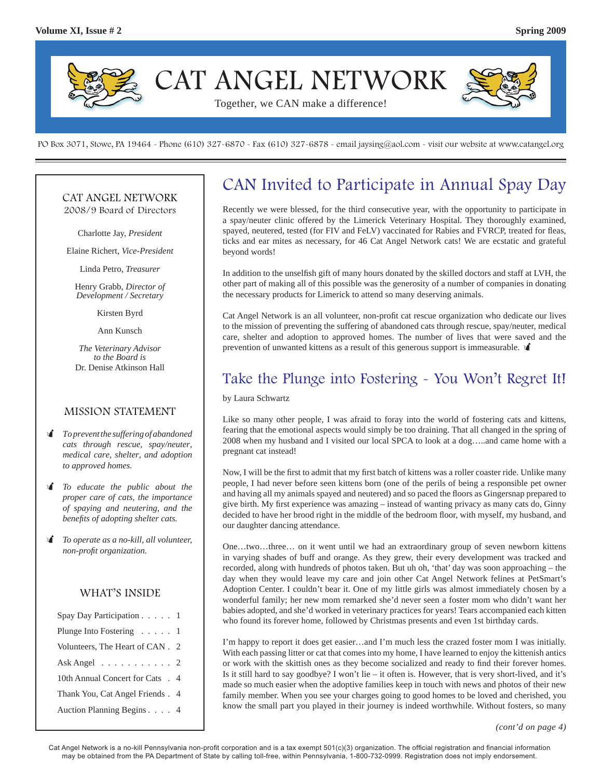

PO Box 3071, Stowe, PA 19464 - Phone (610) 327-6870 - Fax (610) 327-6878 - email jaysing@aol.com - visit our website at www.catangel.org

#### CAT ANGEL NETWORK 2008/9 Board of Directors

Charlotte Jay, *President*

Elaine Richert, *Vice-President*

Linda Petro, *Treasurer*

Henry Grabb, *Director of Development / Secretary*

Kirsten Byrd

Ann Kunsch

*The Veterinary Advisor to the Board is*  Dr. Denise Atkinson Hall

#### MISSION STATEMENT

- *To prevent the suffering of abandoned cats through rescue, spay/neuter, medical care, shelter, and adoption to approved homes.*
- *To educate the public about the proper care of cats, the importance of spaying and neutering, and the benefi ts of adopting shelter cats.*
- *To operate as a no-kill, all volunteer, non-profi t organization.*

#### WHAT'S INSIDE

| Spay Day Participation 1           |  |
|------------------------------------|--|
| Plunge Into Fostering 1            |  |
| Volunteers, The Heart of CAN . 2   |  |
| Ask Angel $\ldots \ldots \ldots 2$ |  |
| 10th Annual Concert for Cats . 4   |  |
| Thank You, Cat Angel Friends. 4    |  |
| Auction Planning Begins 4          |  |

## CAN Invited to Participate in Annual Spay Day

Recently we were blessed, for the third consecutive year, with the opportunity to participate in a spay/neuter clinic offered by the Limerick Veterinary Hospital. They thoroughly examined, spayed, neutered, tested (for FIV and FeLV) vaccinated for Rabies and FVRCP, treated for fleas, ticks and ear mites as necessary, for 46 Cat Angel Network cats! We are ecstatic and grateful beyond words!

In addition to the unselfish gift of many hours donated by the skilled doctors and staff at LVH, the other part of making all of this possible was the generosity of a number of companies in donating the necessary products for Limerick to attend so many deserving animals.

Cat Angel Network is an all volunteer, non-profit cat rescue organization who dedicate our lives to the mission of preventing the suffering of abandoned cats through rescue, spay/neuter, medical care, shelter and adoption to approved homes. The number of lives that were saved and the prevention of unwanted kittens as a result of this generous support is immeasurable.

### Take the Plunge into Fostering - You Won't Regret It!

by Laura Schwartz

Like so many other people, I was afraid to foray into the world of fostering cats and kittens, fearing that the emotional aspects would simply be too draining. That all changed in the spring of 2008 when my husband and I visited our local SPCA to look at a dog…..and came home with a pregnant cat instead!

Now, I will be the first to admit that my first batch of kittens was a roller coaster ride. Unlike many people, I had never before seen kittens born (one of the perils of being a responsible pet owner and having all my animals spayed and neutered) and so paced the floors as Gingersnap prepared to give birth. My first experience was amazing  $-$  instead of wanting privacy as many cats do, Ginny decided to have her brood right in the middle of the bedroom floor, with myself, my husband, and our daughter dancing attendance.

One…two…three… on it went until we had an extraordinary group of seven newborn kittens in varying shades of buff and orange. As they grew, their every development was tracked and recorded, along with hundreds of photos taken. But uh oh, 'that' day was soon approaching – the day when they would leave my care and join other Cat Angel Network felines at PetSmart's Adoption Center. I couldn't bear it. One of my little girls was almost immediately chosen by a wonderful family; her new mom remarked she'd never seen a foster mom who didn't want her babies adopted, and she'd worked in veterinary practices for years! Tears accompanied each kitten who found its forever home, followed by Christmas presents and even 1st birthday cards.

I'm happy to report it does get easier…and I'm much less the crazed foster mom I was initially. With each passing litter or cat that comes into my home, I have learned to enjoy the kittenish antics or work with the skittish ones as they become socialized and ready to find their forever homes. Is it still hard to say goodbye? I won't lie – it often is. However, that is very short-lived, and it's made so much easier when the adoptive families keep in touch with news and photos of their new family member. When you see your charges going to good homes to be loved and cherished, you know the small part you played in their journey is indeed worthwhile. Without fosters, so many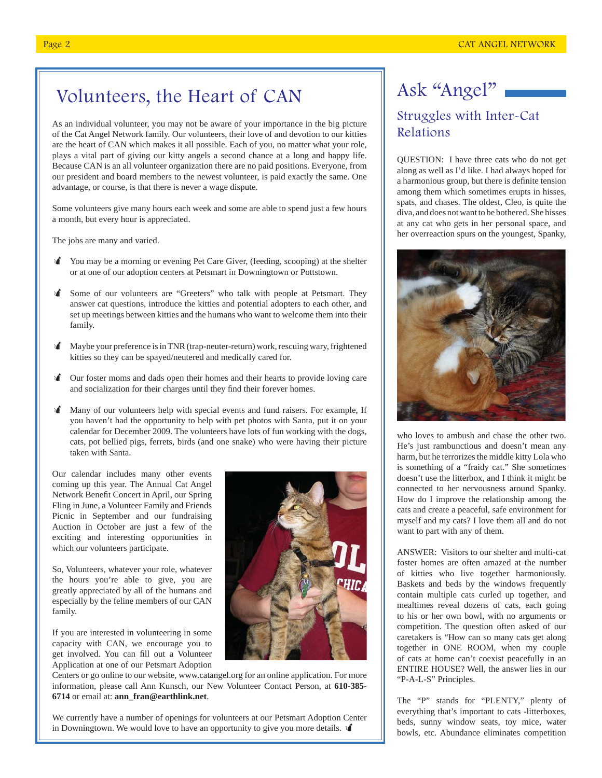# Volunteers, the Heart of CAN

As an individual volunteer, you may not be aware of your importance in the big picture of the Cat Angel Network family. Our volunteers, their love of and devotion to our kitties are the heart of CAN which makes it all possible. Each of you, no matter what your role, plays a vital part of giving our kitty angels a second chance at a long and happy life. Because CAN is an all volunteer organization there are no paid positions. Everyone, from our president and board members to the newest volunteer, is paid exactly the same. One advantage, or course, is that there is never a wage dispute.

Some volunteers give many hours each week and some are able to spend just a few hours a month, but every hour is appreciated.

The jobs are many and varied.

- You may be a morning or evening Pet Care Giver, (feeding, scooping) at the shelter or at one of our adoption centers at Petsmart in Downingtown or Pottstown.
- Some of our volunteers are "Greeters" who talk with people at Petsmart. They answer cat questions, introduce the kitties and potential adopters to each other, and set up meetings between kitties and the humans who want to welcome them into their family.
- Maybe your preference is in TNR (trap-neuter-return) work, rescuing wary, frightened kitties so they can be spayed/neutered and medically cared for.
- Our foster moms and dads open their homes and their hearts to provide loving care and socialization for their charges until they find their forever homes.
- Many of our volunteers help with special events and fund raisers. For example, If you haven't had the opportunity to help with pet photos with Santa, put it on your calendar for December 2009. The volunteers have lots of fun working with the dogs, cats, pot bellied pigs, ferrets, birds (and one snake) who were having their picture taken with Santa.

Our calendar includes many other events coming up this year. The Annual Cat Angel Network Benefit Concert in April, our Spring Fling in June, a Volunteer Family and Friends Picnic in September and our fundraising Auction in October are just a few of the exciting and interesting opportunities in which our volunteers participate.

So, Volunteers, whatever your role, whatever the hours you're able to give, you are greatly appreciated by all of the humans and especially by the feline members of our CAN family.

If you are interested in volunteering in some capacity with CAN, we encourage you to get involved. You can fill out a Volunteer Application at one of our Petsmart Adoption



Centers or go online to our website, www.catangel.org for an online application. For more information, please call Ann Kunsch, our New Volunteer Contact Person, at **610-385- 6714** or email at: **ann\_fran@earthlink.net**.

We currently have a number of openings for volunteers at our Petsmart Adoption Center in Downingtown. We would love to have an opportunity to give you more details.  $\mathbf \hat{\mathbf{A}}$ 

# Ask "Angel" Struggles with Inter-Cat Relations

QUESTION: I have three cats who do not get along as well as I'd like. I had always hoped for a harmonious group, but there is definite tension among them which sometimes erupts in hisses, spats, and chases. The oldest, Cleo, is quite the diva, and does not want to be bothered. She hisses at any cat who gets in her personal space, and her overreaction spurs on the youngest, Spanky,



who loves to ambush and chase the other two. He's just rambunctious and doesn't mean any harm, but he terrorizes the middle kitty Lola who is something of a "fraidy cat." She sometimes doesn't use the litterbox, and I think it might be connected to her nervousness around Spanky. How do I improve the relationship among the cats and create a peaceful, safe environment for myself and my cats? I love them all and do not want to part with any of them.

ANSWER: Visitors to our shelter and multi-cat foster homes are often amazed at the number of kitties who live together harmoniously. Baskets and beds by the windows frequently contain multiple cats curled up together, and mealtimes reveal dozens of cats, each going to his or her own bowl, with no arguments or competition. The question often asked of our caretakers is "How can so many cats get along together in ONE ROOM, when my couple of cats at home can't coexist peacefully in an ENTIRE HOUSE? Well, the answer lies in our "P-A-L-S" Principles.

The "P" stands for "PLENTY," plenty of everything that's important to cats -litterboxes, beds, sunny window seats, toy mice, water bowls, etc. Abundance eliminates competition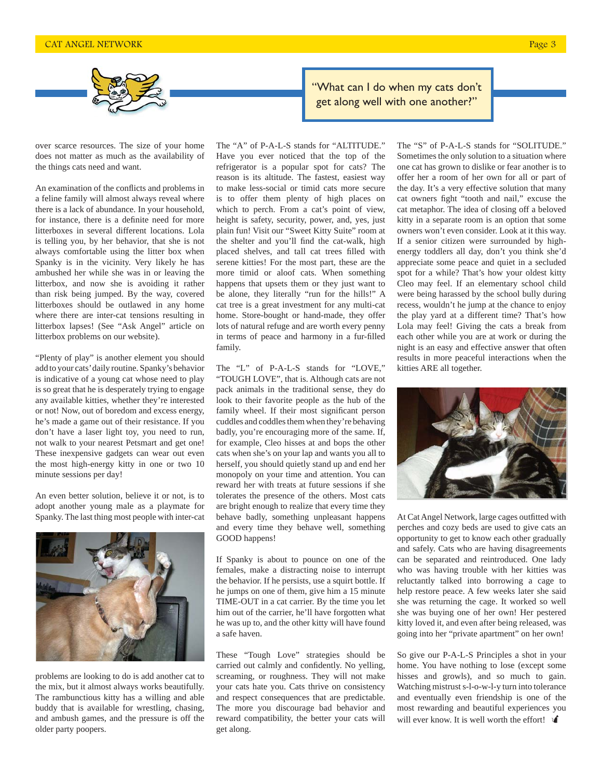

over scarce resources. The size of your home does not matter as much as the availability of the things cats need and want.

An examination of the conflicts and problems in a feline family will almost always reveal where there is a lack of abundance. In your household, for instance, there is a definite need for more litterboxes in several different locations. Lola is telling you, by her behavior, that she is not always comfortable using the litter box when Spanky is in the vicinity. Very likely he has ambushed her while she was in or leaving the litterbox, and now she is avoiding it rather than risk being jumped. By the way, covered litterboxes should be outlawed in any home where there are inter-cat tensions resulting in litterbox lapses! (See "Ask Angel" article on litterbox problems on our website).

"Plenty of play" is another element you should add to your cats' daily routine. Spanky's behavior is indicative of a young cat whose need to play is so great that he is desperately trying to engage any available kitties, whether they're interested or not! Now, out of boredom and excess energy, he's made a game out of their resistance. If you don't have a laser light toy, you need to run, not walk to your nearest Petsmart and get one! These inexpensive gadgets can wear out even the most high-energy kitty in one or two 10 minute sessions per day!

An even better solution, believe it or not, is to adopt another young male as a playmate for Spanky. The last thing most people with inter-cat



problems are looking to do is add another cat to the mix, but it almost always works beautifully. The rambunctious kitty has a willing and able buddy that is available for wrestling, chasing, and ambush games, and the pressure is off the older party poopers.

The "A" of P-A-L-S stands for "ALTITUDE." Have you ever noticed that the top of the refrigerator is a popular spot for cats? The reason is its altitude. The fastest, easiest way to make less-social or timid cats more secure is to offer them plenty of high places on which to perch. From a cat's point of view, height is safety, security, power, and, yes, just plain fun! Visit our "Sweet Kitty Suite" room at the shelter and you'll find the cat-walk, high placed shelves, and tall cat trees filled with serene kitties! For the most part, these are the more timid or aloof cats. When something happens that upsets them or they just want to be alone, they literally "run for the hills!" A cat tree is a great investment for any multi-cat home. Store-bought or hand-made, they offer lots of natural refuge and are worth every penny in terms of peace and harmony in a fur-filled family.

The "L" of P-A-L-S stands for "LOVE," "TOUGH LOVE", that is. Although cats are not pack animals in the traditional sense, they do look to their favorite people as the hub of the family wheel. If their most significant person cuddles and coddles them when they're behaving badly, you're encouraging more of the same. If, for example, Cleo hisses at and bops the other cats when she's on your lap and wants you all to herself, you should quietly stand up and end her monopoly on your time and attention. You can reward her with treats at future sessions if she tolerates the presence of the others. Most cats are bright enough to realize that every time they behave badly, something unpleasant happens and every time they behave well, something GOOD happens!

If Spanky is about to pounce on one of the females, make a distracting noise to interrupt the behavior. If he persists, use a squirt bottle. If he jumps on one of them, give him a 15 minute TIME-OUT in a cat carrier. By the time you let him out of the carrier, he'll have forgotten what he was up to, and the other kitty will have found a safe haven.

These "Tough Love" strategies should be carried out calmly and confidently. No yelling, screaming, or roughness. They will not make your cats hate you. Cats thrive on consistency and respect consequences that are predictable. The more you discourage bad behavior and reward compatibility, the better your cats will get along.

"What can I do when my cats don't get along well with one another?"

> The "S" of P-A-L-S stands for "SOLITUDE." Sometimes the only solution to a situation where one cat has grown to dislike or fear another is to offer her a room of her own for all or part of the day. It's a very effective solution that many cat owners fight "tooth and nail," excuse the cat metaphor. The idea of closing off a beloved kitty in a separate room is an option that some owners won't even consider. Look at it this way. If a senior citizen were surrounded by highenergy toddlers all day, don't you think she'd appreciate some peace and quiet in a secluded spot for a while? That's how your oldest kitty Cleo may feel. If an elementary school child were being harassed by the school bully during recess, wouldn't he jump at the chance to enjoy the play yard at a different time? That's how Lola may feel! Giving the cats a break from each other while you are at work or during the night is an easy and effective answer that often results in more peaceful interactions when the kitties ARE all together.



At Cat Angel Network, large cages outfitted with perches and cozy beds are used to give cats an opportunity to get to know each other gradually and safely. Cats who are having disagreements can be separated and reintroduced. One lady who was having trouble with her kitties was reluctantly talked into borrowing a cage to help restore peace. A few weeks later she said she was returning the cage. It worked so well she was buying one of her own! Her pestered kitty loved it, and even after being released, was going into her "private apartment" on her own!

So give our P-A-L-S Principles a shot in your home. You have nothing to lose (except some hisses and growls), and so much to gain. Watching mistrust s-l-o-w-l-y turn into tolerance and eventually even friendship is one of the most rewarding and beautiful experiences you will ever know. It is well worth the effort!